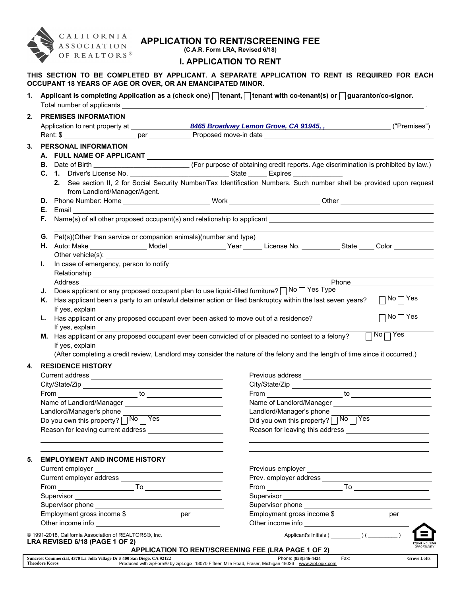

## APPLICATION TO RENT/SCREENING FEE

(C.A.R. Form LRA, Revised 6/18)

## I. APPLICATION TO RENT

THIS SECTION TO BE COMPLETED BY APPLICANT. A SEPARATE APPLICATION TO RENT IS REQUIRED FOR EACH OCCUPANT 18 YEARS OF AGE OR OVER, OR AN EMANCIPATED MINOR.

1. Applicant is completing Application as a (check one)  $\Box$  tenant,  $\Box$  tenant with co-tenant(s) or  $\Box$  guarantor/co-signor. Total number of applicants .

|    | Application to rent property at ________________                                                                                                                                                                                     | 8465 Broadway Lemon Grove, CA 91945, ,                                                                                                                                                                                             | ("Premises")                                         |
|----|--------------------------------------------------------------------------------------------------------------------------------------------------------------------------------------------------------------------------------------|------------------------------------------------------------------------------------------------------------------------------------------------------------------------------------------------------------------------------------|------------------------------------------------------|
|    |                                                                                                                                                                                                                                      |                                                                                                                                                                                                                                    |                                                      |
| 3. | <b>PERSONAL INFORMATION</b>                                                                                                                                                                                                          |                                                                                                                                                                                                                                    |                                                      |
|    | A. FULL NAME OF APPLICANT                                                                                                                                                                                                            |                                                                                                                                                                                                                                    |                                                      |
|    |                                                                                                                                                                                                                                      |                                                                                                                                                                                                                                    |                                                      |
|    |                                                                                                                                                                                                                                      |                                                                                                                                                                                                                                    |                                                      |
|    | 2. See section II, 2 for Social Security Number/Tax Identification Numbers. Such number shall be provided upon request                                                                                                               |                                                                                                                                                                                                                                    |                                                      |
|    | from Landlord/Manager/Agent.                                                                                                                                                                                                         |                                                                                                                                                                                                                                    |                                                      |
|    | D. Phone Number: Home ___________________________Work __________________________Other ________________________                                                                                                                       |                                                                                                                                                                                                                                    |                                                      |
|    | <b>E.</b> Email                                                                                                                                                                                                                      |                                                                                                                                                                                                                                    |                                                      |
|    | Name(s) of all other proposed occupant(s) and relationship to applicant<br>F.                                                                                                                                                        |                                                                                                                                                                                                                                    |                                                      |
|    |                                                                                                                                                                                                                                      |                                                                                                                                                                                                                                    |                                                      |
|    | G. Pet(s)(Other than service or companion animals)(number and type)                                                                                                                                                                  |                                                                                                                                                                                                                                    |                                                      |
|    | H. Auto: Make __________________Model _______________Year _____ License No. __________State ____ Color ________                                                                                                                      |                                                                                                                                                                                                                                    |                                                      |
|    | Other vehicle(s):                                                                                                                                                                                                                    |                                                                                                                                                                                                                                    |                                                      |
| L. |                                                                                                                                                                                                                                      |                                                                                                                                                                                                                                    |                                                      |
|    | Address and the contract of the contract of the contract of the contract of the contract of the contract of the contract of the contract of the contract of the contract of the contract of the contract of the contract of th       |                                                                                                                                                                                                                                    |                                                      |
|    | Does applicant or any proposed occupant plan to use liquid-filled furniture? $\sqrt{N^2N^2}$ Yes Type<br>J.                                                                                                                          |                                                                                                                                                                                                                                    |                                                      |
|    | K. Has applicant been a party to an unlawful detainer action or filed bankruptcy within the last seven years?                                                                                                                        |                                                                                                                                                                                                                                    | $\Box$ No $\Box$ Yes                                 |
|    | If yes, explain                                                                                                                                                                                                                      |                                                                                                                                                                                                                                    |                                                      |
|    | L. Has applicant or any proposed occupant ever been asked to move out of a residence?                                                                                                                                                |                                                                                                                                                                                                                                    | $\overline{\top}$ Yes<br>No <sub>1</sub>             |
|    | If yes, explain                                                                                                                                                                                                                      |                                                                                                                                                                                                                                    |                                                      |
|    | M. Has applicant or any proposed occupant ever been convicted of or pleaded no contest to a felony?                                                                                                                                  |                                                                                                                                                                                                                                    | $No \overline{\bigcap Yes}$                          |
|    | If yes, explain                                                                                                                                                                                                                      |                                                                                                                                                                                                                                    |                                                      |
|    | (After completing a credit review, Landlord may consider the nature of the felony and the length of time since it occurred.)                                                                                                         |                                                                                                                                                                                                                                    |                                                      |
|    |                                                                                                                                                                                                                                      |                                                                                                                                                                                                                                    |                                                      |
| 4. | <b>RESIDENCE HISTORY</b>                                                                                                                                                                                                             |                                                                                                                                                                                                                                    |                                                      |
|    |                                                                                                                                                                                                                                      |                                                                                                                                                                                                                                    |                                                      |
|    |                                                                                                                                                                                                                                      |                                                                                                                                                                                                                                    |                                                      |
|    |                                                                                                                                                                                                                                      |                                                                                                                                                                                                                                    |                                                      |
|    |                                                                                                                                                                                                                                      |                                                                                                                                                                                                                                    |                                                      |
|    |                                                                                                                                                                                                                                      |                                                                                                                                                                                                                                    |                                                      |
|    | Landlord/Manager's phone                                                                                                                                                                                                             | Landlord/Manager's phone                                                                                                                                                                                                           |                                                      |
|    | Do you own this property? No Yes                                                                                                                                                                                                     | Did you own this property? No Yes                                                                                                                                                                                                  |                                                      |
|    |                                                                                                                                                                                                                                      |                                                                                                                                                                                                                                    |                                                      |
|    |                                                                                                                                                                                                                                      |                                                                                                                                                                                                                                    |                                                      |
| 5. | <b>EMPLOYMENT AND INCOME HISTORY</b>                                                                                                                                                                                                 |                                                                                                                                                                                                                                    |                                                      |
|    |                                                                                                                                                                                                                                      |                                                                                                                                                                                                                                    |                                                      |
|    | Current employer <b>contract to the contract of the contract of the contract of the contract of the contract of the contract of the contract of the contract of the contract of the contract of the contract of the contract of </b> |                                                                                                                                                                                                                                    |                                                      |
|    |                                                                                                                                                                                                                                      |                                                                                                                                                                                                                                    |                                                      |
|    | Supervisor                                                                                                                                                                                                                           | Supervisor                                                                                                                                                                                                                         |                                                      |
|    |                                                                                                                                                                                                                                      |                                                                                                                                                                                                                                    |                                                      |
|    | Supervisor phone example and the state of the state of the state of the state of the state of the state of the                                                                                                                       | Supervisor phone <b>contained contained a set of the set of the set of the set of the set of the set of the set of the set of the set of the set of the set of the set of the set of the set of the set of the set of the set </b> |                                                      |
|    | Employment gross income \$________________ per ________                                                                                                                                                                              | Employment gross income \$________________ per _______                                                                                                                                                                             |                                                      |
|    |                                                                                                                                                                                                                                      |                                                                                                                                                                                                                                    | <u> 1989 - Johann Barn, fransk politik (d. 1989)</u> |
|    | © 1991-2018, California Association of REALTORS®, Inc.<br>LRA REVISED 6/18 (PAGE 1 OF 2)                                                                                                                                             |                                                                                                                                                                                                                                    | EQUAL HOUSIN<br><b>OPPORTUNITY</b>                   |